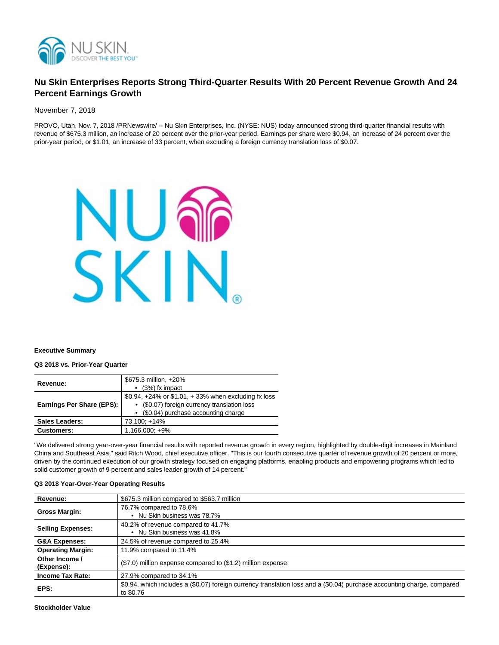

# **Nu Skin Enterprises Reports Strong Third-Quarter Results With 20 Percent Revenue Growth And 24 Percent Earnings Growth**

November 7, 2018

PROVO, Utah, Nov. 7, 2018 /PRNewswire/ -- Nu Skin Enterprises, Inc. (NYSE: NUS) today announced strong third-quarter financial results with revenue of \$675.3 million, an increase of 20 percent over the prior-year period. Earnings per share were \$0.94, an increase of 24 percent over the prior-year period, or \$1.01, an increase of 33 percent, when excluding a foreign currency translation loss of \$0.07.



#### **Executive Summary**

**Q3 2018 vs. Prior-Year Quarter**

| Revenue:                  | \$675.3 million, +20%<br>$\bullet$ (3%) fx impact                                                                                                  |
|---------------------------|----------------------------------------------------------------------------------------------------------------------------------------------------|
| Earnings Per Share (EPS): | \$0.94, $+24\%$ or \$1.01, $+33\%$ when excluding fx loss<br>• (\$0.07) foreign currency translation loss<br>• (\$0.04) purchase accounting charge |
| <b>Sales Leaders:</b>     | 73,100; +14%                                                                                                                                       |
| <b>Customers:</b>         | $1,166,000; +9%$                                                                                                                                   |

"We delivered strong year-over-year financial results with reported revenue growth in every region, highlighted by double-digit increases in Mainland China and Southeast Asia," said Ritch Wood, chief executive officer. "This is our fourth consecutive quarter of revenue growth of 20 percent or more, driven by the continued execution of our growth strategy focused on engaging platforms, enabling products and empowering programs which led to solid customer growth of 9 percent and sales leader growth of 14 percent."

| Revenue:                     | \$675.3 million compared to \$563.7 million                                                                                          |
|------------------------------|--------------------------------------------------------------------------------------------------------------------------------------|
| <b>Gross Margin:</b>         | 76.7% compared to 78.6%<br>• Nu Skin business was 78.7%                                                                              |
| <b>Selling Expenses:</b>     | 40.2% of revenue compared to 41.7%<br>• Nu Skin business was 41.8%                                                                   |
| <b>G&amp;A Expenses:</b>     | 24.5% of revenue compared to 25.4%                                                                                                   |
| <b>Operating Margin:</b>     | 11.9% compared to 11.4%                                                                                                              |
| Other Income /<br>(Expense): | (\$7.0) million expense compared to (\$1.2) million expense                                                                          |
| <b>Income Tax Rate:</b>      | 27.9% compared to 34.1%                                                                                                              |
| EPS:                         | \$0.94, which includes a (\$0.07) foreign currency translation loss and a (\$0.04) purchase accounting charge, compared<br>to \$0.76 |

#### **Q3 2018 Year-Over-Year Operating Results**

**Stockholder Value**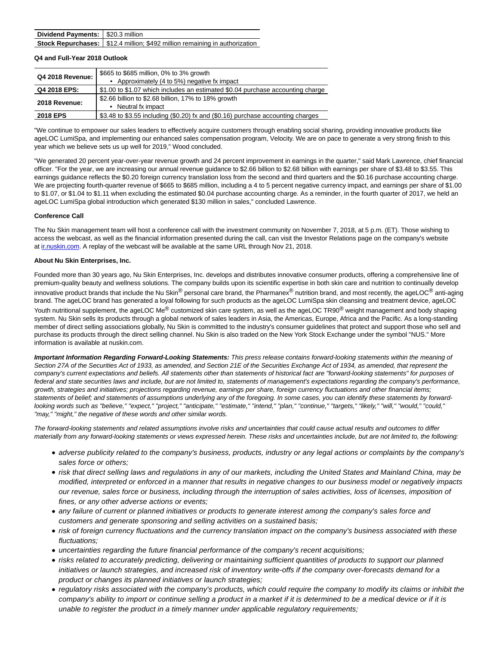| Dividend Payments: \$20.3 million |                                                                               |
|-----------------------------------|-------------------------------------------------------------------------------|
|                                   | Stock Repurchases:   \$12.4 million; \$492 million remaining in authorization |

#### **Q4 and Full-Year 2018 Outlook**

| <b>Q4 2018 Revenue:</b> | \$665 to \$685 million, 0% to 3% growth<br>• Approximately (4 to 5%) negative fx impact |
|-------------------------|-----------------------------------------------------------------------------------------|
| Q4 2018 EPS:            | \$1.00 to \$1.07 which includes an estimated \$0.04 purchase accounting charge          |
| 2018 Revenue:           | \$2.66 billion to \$2.68 billion, 17% to 18% growth<br>• Neutral fx impact              |
| 2018 EPS                | \$3.48 to \$3.55 including (\$0.20) fx and (\$0.16) purchase accounting charges         |

"We continue to empower our sales leaders to effectively acquire customers through enabling social sharing, providing innovative products like ageLOC LumiSpa, and implementing our enhanced sales compensation program, Velocity. We are on pace to generate a very strong finish to this year which we believe sets us up well for 2019," Wood concluded.

"We generated 20 percent year-over-year revenue growth and 24 percent improvement in earnings in the quarter," said Mark Lawrence, chief financial officer. "For the year, we are increasing our annual revenue guidance to \$2.66 billion to \$2.68 billion with earnings per share of \$3.48 to \$3.55. This earnings guidance reflects the \$0.20 foreign currency translation loss from the second and third quarters and the \$0.16 purchase accounting charge. We are projecting fourth-quarter revenue of \$665 to \$685 million, including a 4 to 5 percent negative currency impact, and earnings per share of \$1.00 to \$1.07, or \$1.04 to \$1.11 when excluding the estimated \$0.04 purchase accounting charge. As a reminder, in the fourth quarter of 2017, we held an ageLOC LumiSpa global introduction which generated \$130 million in sales," concluded Lawrence.

#### **Conference Call**

The Nu Skin management team will host a conference call with the investment community on November 7, 2018, at 5 p.m. (ET). Those wishing to access the webcast, as well as the financial information presented during the call, can visit the Investor Relations page on the company's website at innuskin.com. A replay of the webcast will be available at the same URL through Nov 21, 2018.

#### **About Nu Skin Enterprises, Inc.**

Founded more than 30 years ago, Nu Skin Enterprises, Inc. develops and distributes innovative consumer products, offering a comprehensive line of premium-quality beauty and wellness solutions. The company builds upon its scientific expertise in both skin care and nutrition to continually develop innovative product brands that include the Nu Skin® personal care brand, the Pharmanex® nutrition brand, and most recently, the ageLOC® anti-aging brand. The ageLOC brand has generated a loyal following for such products as the ageLOC LumiSpa skin cleansing and treatment device, ageLOC Youth nutritional supplement, the ageLOC Me<sup>®</sup> customized skin care system, as well as the ageLOC TR90<sup>®</sup> weight management and body shaping system. Nu Skin sells its products through a global network of sales leaders in Asia, the Americas, Europe, Africa and the Pacific. As a long-standing member of direct selling associations globally, Nu Skin is committed to the industry's consumer guidelines that protect and support those who sell and purchase its products through the direct selling channel. Nu Skin is also traded on the New York Stock Exchange under the symbol "NUS." More information is available at nuskin.com.

**Important Information Regarding Forward-Looking Statements:** This press release contains forward-looking statements within the meaning of Section 27A of the Securities Act of 1933, as amended, and Section 21E of the Securities Exchange Act of 1934, as amended, that represent the company's current expectations and beliefs. All statements other than statements of historical fact are "forward-looking statements" for purposes of federal and state securities laws and include, but are not limited to, statements of management's expectations regarding the company's performance, growth, strategies and initiatives; projections regarding revenue, earnings per share, foreign currency fluctuations and other financial items; statements of belief; and statements of assumptions underlying any of the foregoing. In some cases, you can identify these statements by forwardlooking words such as "believe," "expect," "project," "anticipate," "estimate," "intend," "plan," "continue," "targets," "likely," "will," "would," "could," "may," "might," the negative of these words and other similar words.

The forward-looking statements and related assumptions involve risks and uncertainties that could cause actual results and outcomes to differ materially from any forward-looking statements or views expressed herein. These risks and uncertainties include, but are not limited to, the following:

- adverse publicity related to the company's business, products, industry or any legal actions or complaints by the company's sales force or others;
- risk that direct selling laws and regulations in any of our markets, including the United States and Mainland China, may be modified, interpreted or enforced in a manner that results in negative changes to our business model or negatively impacts our revenue, sales force or business, including through the interruption of sales activities, loss of licenses, imposition of fines, or any other adverse actions or events;
- any failure of current or planned initiatives or products to generate interest among the company's sales force and customers and generate sponsoring and selling activities on a sustained basis;
- risk of foreign currency fluctuations and the currency translation impact on the company's business associated with these fluctuations;
- uncertainties regarding the future financial performance of the company's recent acquisitions;
- risks related to accurately predicting, delivering or maintaining sufficient quantities of products to support our planned initiatives or launch strategies, and increased risk of inventory write-offs if the company over-forecasts demand for a product or changes its planned initiatives or launch strategies;
- regulatory risks associated with the company's products, which could require the company to modify its claims or inhibit the company's ability to import or continue selling a product in a market if it is determined to be a medical device or if it is unable to register the product in a timely manner under applicable regulatory requirements;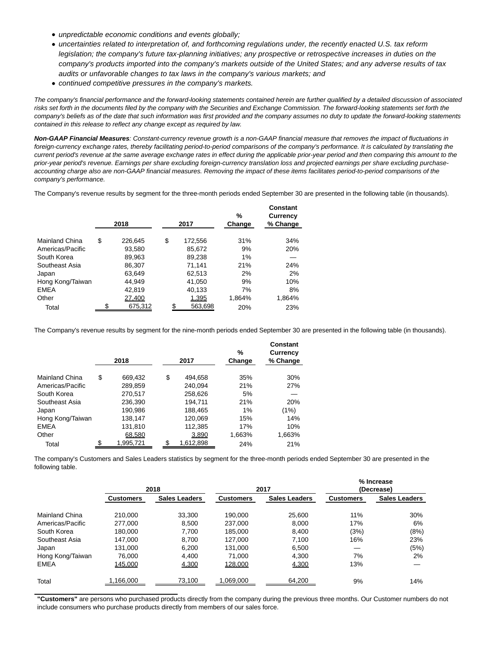- unpredictable economic conditions and events globally;
- uncertainties related to interpretation of, and forthcoming regulations under, the recently enacted U.S. tax reform legislation; the company's future tax-planning initiatives; any prospective or retrospective increases in duties on the company's products imported into the company's markets outside of the United States; and any adverse results of tax audits or unfavorable changes to tax laws in the company's various markets; and
- continued competitive pressures in the company's markets.

The company's financial performance and the forward-looking statements contained herein are further qualified by a detailed discussion of associated risks set forth in the documents filed by the company with the Securities and Exchange Commission. The forward-looking statements set forth the company's beliefs as of the date that such information was first provided and the company assumes no duty to update the forward-looking statements contained in this release to reflect any change except as required by law.

**Non-GAAP Financial Measures**: Constant-currency revenue growth is a non-GAAP financial measure that removes the impact of fluctuations in foreign-currency exchange rates, thereby facilitating period-to-period comparisons of the company's performance. It is calculated by translating the current period's revenue at the same average exchange rates in effect during the applicable prior-year period and then comparing this amount to the prior-year period's revenue. Earnings per share excluding foreign-currency translation loss and projected earnings per share excluding purchaseaccounting charge also are non-GAAP financial measures. Removing the impact of these items facilitates period-to-period comparisons of the company's performance.

The Company's revenue results by segment for the three-month periods ended September 30 are presented in the following table (in thousands).

| 2018    |         | 2017    | %<br>Change | Constant<br><b>Currency</b><br>% Change |
|---------|---------|---------|-------------|-----------------------------------------|
|         |         |         |             |                                         |
|         |         |         |             | 34%                                     |
| 93.580  |         | 85,672  |             | 20%                                     |
| 89,963  |         | 89,238  | 1%          |                                         |
| 86.307  |         | 71.141  | 21%         | 24%                                     |
| 63.649  |         | 62,513  | 2%          | 2%                                      |
| 44.949  |         | 41,050  | 9%          | 10%                                     |
| 42,819  |         | 40,133  | 7%          | 8%                                      |
| 27.400  |         | 1,395   | 1,864%      | 1,864%                                  |
| 675,312 | S       | 563,698 | 20%         | 23%                                     |
| \$      | 226.645 | \$      | 172.556     | 31%<br>9%                               |

The Company's revenue results by segment for the nine-month periods ended September 30 are presented in the following table (in thousands).

|                  | 2018          |    | 2017      | %<br>Change | Constant<br><b>Currency</b><br>% Change |
|------------------|---------------|----|-----------|-------------|-----------------------------------------|
| Mainland China   | \$<br>669.432 | \$ | 494.658   | 35%         | 30%                                     |
| Americas/Pacific | 289,859       |    | 240.094   | 21%         | 27%                                     |
| South Korea      | 270.517       |    | 258,626   | 5%          |                                         |
| Southeast Asia   | 236,390       |    | 194.711   | 21%         | 20%                                     |
| Japan            | 190,986       |    | 188,465   | $1\%$       | (1%)                                    |
| Hong Kong/Taiwan | 138,147       |    | 120,069   | 15%         | 14%                                     |
| <b>EMEA</b>      | 131,810       |    | 112,385   | 17%         | 10%                                     |
| Other            | 68,580        |    | 3,890     | 1.663%      | 1,663%                                  |
| Total            | 1,995,721     | S  | 1,612,898 | 24%         | 21%                                     |

The company's Customers and Sales Leaders statistics by segment for the three-month periods ended September 30 are presented in the following table.

|                  |                  | 2018                 |                  | 2017                 | % Increase<br>(Decrease) |                      |  |
|------------------|------------------|----------------------|------------------|----------------------|--------------------------|----------------------|--|
|                  | <b>Customers</b> | <b>Sales Leaders</b> | <b>Customers</b> | <b>Sales Leaders</b> | <b>Customers</b>         | <b>Sales Leaders</b> |  |
| Mainland China   | 210.000          | 33.300               | 190.000          | 25,600               | 11%                      | 30%                  |  |
| Americas/Pacific | 277.000          | 8.500                | 237.000          | 8,000                | 17%                      | 6%                   |  |
| South Korea      | 180.000          | 7.700                | 185.000          | 8.400                | (3%)                     | (8%)                 |  |
| Southeast Asia   | 147.000          | 8.700                | 127.000          | 7.100                | 16%                      | 23%                  |  |
| Japan            | 131.000          | 6,200                | 131.000          | 6.500                |                          | (5%)                 |  |
| Hong Kong/Taiwan | 76.000           | 4.400                | 71.000           | 4.300                | 7%                       | 2%                   |  |
| <b>EMEA</b>      | 145,000          | 4,300                | 128,000          | 4,300                | 13%                      |                      |  |
| Total            | .166.000         | 73,100               | 1,069,000        | 64,200               | 9%                       | 14%                  |  |

**"Customers"** are persons who purchased products directly from the company during the previous three months. Our Customer numbers do not include consumers who purchase products directly from members of our sales force.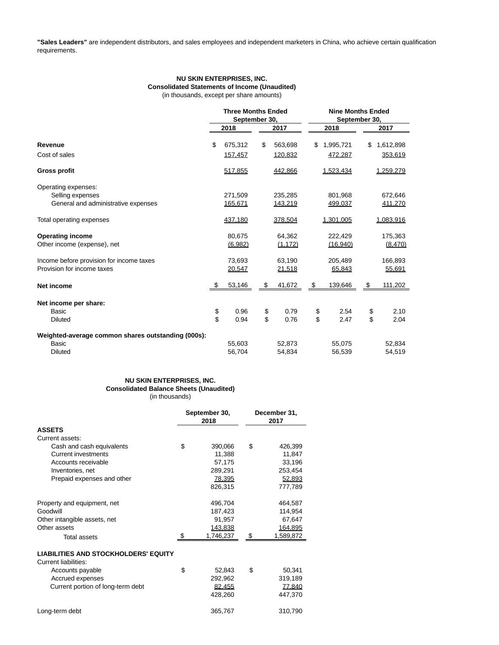**"Sales Leaders"** are independent distributors, and sales employees and independent marketers in China, who achieve certain qualification requirements.

# **NU SKIN ENTERPRISES, INC. Consolidated Statements of Income (Unaudited)**

(in thousands, except per share amounts)

|                                                    | <b>Three Months Ended</b><br>September 30, |         |               | <b>Nine Months Ended</b><br>September 30, |                 |
|----------------------------------------------------|--------------------------------------------|---------|---------------|-------------------------------------------|-----------------|
|                                                    |                                            | 2018    | 2017          | 2018                                      | 2017            |
| Revenue                                            | \$                                         | 675,312 | \$<br>563,698 | \$<br>1,995,721                           | \$<br>1,612,898 |
| Cost of sales                                      |                                            | 157,457 | 120,832       | 472,287                                   | 353,619         |
| <b>Gross profit</b>                                |                                            | 517,855 | 442,866       | 1,523,434                                 | 1,259,279       |
| Operating expenses:                                |                                            |         |               |                                           |                 |
| Selling expenses                                   |                                            | 271,509 | 235,285       | 801,968                                   | 672,646         |
| General and administrative expenses                |                                            | 165,671 | 143,219       | 499.037                                   | 411,270         |
| Total operating expenses                           |                                            | 437,180 | 378,504       | 1,301,005                                 | 1,083,916       |
| <b>Operating income</b>                            |                                            | 80,675  | 64,362        | 222,429                                   | 175,363         |
| Other income (expense), net                        |                                            | (6,982) | (1, 172)      | (16,940)                                  | (8,470)         |
| Income before provision for income taxes           |                                            | 73.693  | 63.190        | 205,489                                   | 166,893         |
| Provision for income taxes                         |                                            | 20,547  | 21,518        | 65,843                                    | 55,691          |
| Net income                                         | \$                                         | 53,146  | \$<br>41,672  | \$<br>139,646                             | \$<br>111,202   |
| Net income per share:                              |                                            |         |               |                                           |                 |
| Basic                                              | \$                                         | 0.96    | \$<br>0.79    | \$<br>2.54                                | \$<br>2.10      |
| <b>Diluted</b>                                     | \$                                         | 0.94    | \$<br>0.76    | \$<br>2.47                                | \$<br>2.04      |
| Weighted-average common shares outstanding (000s): |                                            |         |               |                                           |                 |
| Basic                                              |                                            | 55,603  | 52,873        | 55,075                                    | 52,834          |
| <b>Diluted</b>                                     |                                            | 56.704  | 54.834        | 56.539                                    | 54.519          |

### **NU SKIN ENTERPRISES, INC. Consolidated Balance Sheets (Unaudited)** (in thousands)

|                                             | September 30,<br>2018 |               | December 31,<br>2017 |           |  |
|---------------------------------------------|-----------------------|---------------|----------------------|-----------|--|
| <b>ASSETS</b>                               |                       |               |                      |           |  |
| Current assets:                             |                       |               |                      |           |  |
| Cash and cash equivalents                   | \$                    | 390,066       | \$                   | 426,399   |  |
| <b>Current investments</b>                  |                       | 11,388        |                      | 11,847    |  |
| Accounts receivable                         |                       | 57,175        |                      | 33,196    |  |
| Inventories, net                            |                       | 289,291       |                      | 253,454   |  |
| Prepaid expenses and other                  |                       | <u>78,395</u> |                      | 52,893    |  |
|                                             |                       | 826,315       |                      | 777,789   |  |
| Property and equipment, net                 |                       | 496,704       |                      | 464,587   |  |
| Goodwill                                    |                       | 187,423       |                      | 114,954   |  |
| Other intangible assets, net                |                       | 91,957        |                      | 67,647    |  |
| Other assets                                |                       | 143,838       |                      | 164,895   |  |
| Total assets                                | \$.                   | 1,746,237     | \$                   | 1,589,872 |  |
| <b>LIABILITIES AND STOCKHOLDERS' EQUITY</b> |                       |               |                      |           |  |
| Current liabilities:                        |                       |               |                      |           |  |
| Accounts payable                            | \$                    | 52,843        | \$                   | 50,341    |  |
| Accrued expenses                            |                       | 292,962       |                      | 319,189   |  |
| Current portion of long-term debt           |                       | 82.455        |                      | 77.840    |  |
|                                             |                       | 428,260       |                      | 447,370   |  |
| Long-term debt                              |                       | 365,767       |                      | 310,790   |  |